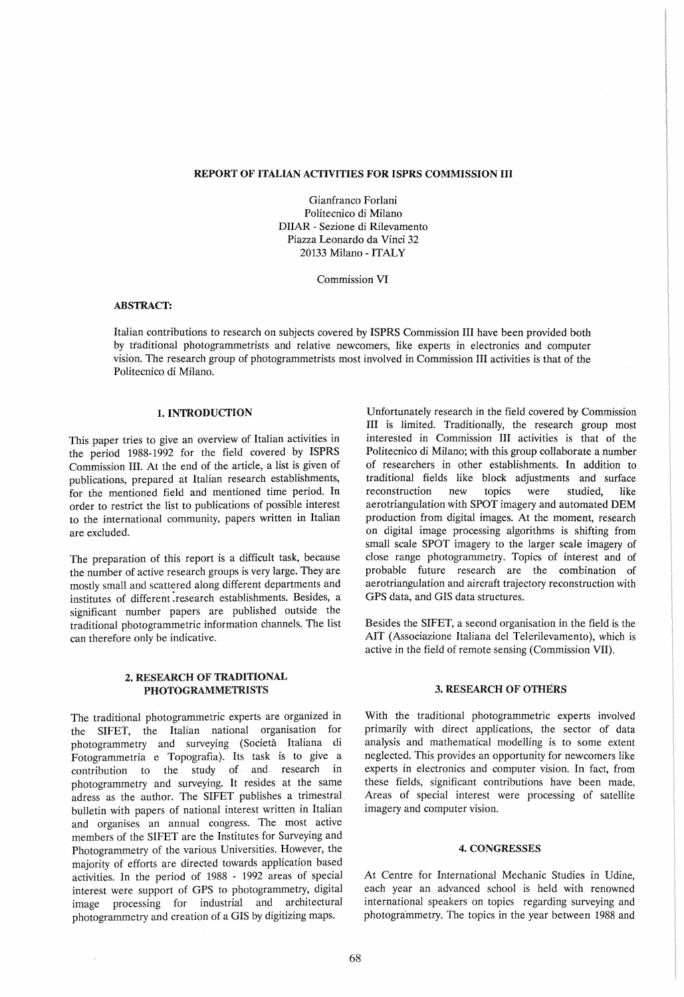#### REPORT OF ITALIAN ACTIVITIES FOR ISPRS COMMISSION HI

Gianfranco Forlani Politecnico di Milano DIIAR - Sezione di Rilevamento Piazza Leonardo da Vinci 32 20133 Milano - ITALY

Commission VI

# ABSTRACT:

Italian contributions to research on subjects covered by ISPRS Commission III have been provided both by traditional photogrammetrists and relative newcomers, like experts in electronics and computer vision. The research group of photogrammetrists most involved in Commission III activities is that of the Politecnico di Milano.

### 1. INTRODUCTION

This paper tries to give an overview of Italian activities in the period 1988-1992 for the field covered by ISPRS Commission III. At the end of the article, a list is given of publications, prepared at Italian research establishments, for the mentioned field and mentioned time period. In order to restrict the list to publications of possible interest to the international community, papers written in Italian are excluded.

The preparation of this report is a difficult task, because the number of active research groups is very large. They are mostly small and scattered along different departments and institutes of different research establishments. Besides, a significant number papers are published outside the traditional photogrammetric information channels. The list can therefore only be indicative.

# 2. RESEARCH OF TRADITIONAL PHOTOGRAMMETRISTS

The traditional photogrammetric experts are organized in the SIFET, the Italian national organisation for photogrammetry and surveying (Societa Italiana di Fotogrammetria e Topografia). Its task is to give a contribution to the study of and research in photogrammetry and surveying. It resides at the same adress as the author. The SIFET publishes a trimestral bulletin with papers of national interest written in Italian and organises an annual congress. The most active members of the SIFET are the Institutes for Surveying and Photogrammetry of the various Universities. However, the majority of efforts are directed towards application based activities. In the period of 1988 - 1992 areas of special interest were support of GPS to photogrammetry, digital image processing for industrial and architectural photogrammetry and creation of a GIS by digitizing maps.

 $\bar{z}$ 

Unfortunately research in the field covered by Commission III is limited. Traditionally, the research group most interested in Commission III activities is that of the Politecnico di Milano; with this group collaborate a number of researchers in other establishments. In addition to traditional fields like block adjustments and surface reconstruction new topics were studied, like aerotriangulation with SPOT imagery and automated DEM production from digital images. At the moment, research on digital image processing algorithms is shifting from small scale SPOT imagery to the larger scale imagery of close range photogrammetry. Topics of interest and of probable future research are the combination of aerotriangulation and aircraft trajectory reconstruction with GPS data, and GIS data structures.

Besides the SIFET, a second organisation in the field is the AIT (Associazione Italiana del Telerilevamento), which is active in the field of remote sensing (Commission VII).

# 3. RESEARCH OF OTHERS

With the traditional photogrammetric experts involved primarily with direct applications, the sector of data analysis and mathematical modelling is to some extent neglected. This provides an opportunity for newcomers like experts in electronics and computer vision. In fact, from these fields, significant contributions have been made. Areas of special interest were processing of satellite imagery and computer vision.

## 4. CONGRESSES

At Centre for International Mechanic Studies in Udine, each year an advanced school is held with renowned international speakers on topics regarding surveying and photogrammetry. The topics in the year between 1988 and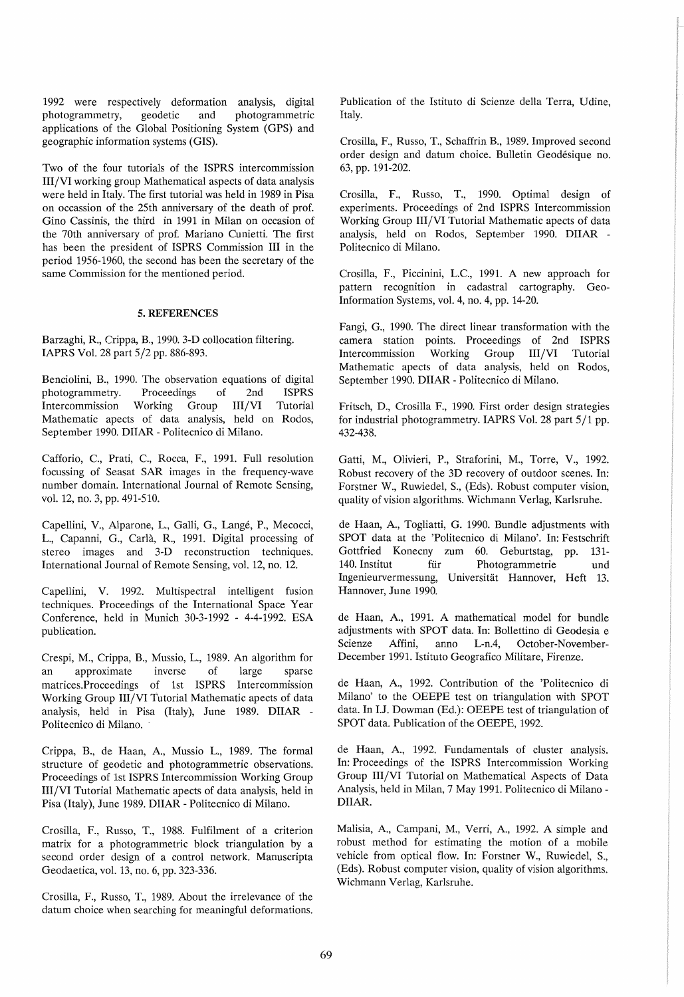1992 were respectively deformation analysis, digital and photogrammetric applications of the Global Positioning System (GPS) and geographic information systems (GIS).

Two of the four tutorials of the ISPRS intercommission III/VI working group Mathematical aspects of data analysis were held in Italy. The first tutorial was held in 1989 in Pisa on occassion of the 25th anniversary of the death of prof. Gino Cassinis, the third in 1991 in Milan on occasion of the 70th anniversary of prof. Mariano Cunietti. The first has been the president of ISPRS Commission III in the period 1956-1960, the second has been the secretary of the same Commission for the mentioned period.

## 5. REFERENCES

Barzaghi, R., Crippa, B., 1990. 3-D collocation filtering. IAPRS Vol. 28 part 5/2 pp. 886-893.

Benciolini, B., 1990. The observation equations of digital<br>photogrammetry. Proceedings of 2nd ISPRS photogrammetry. Proceedings of 2nd<br>Intercommission Working Group III/VI Intercommission Working Group III/VI Tutorial Mathematic apects of data analysis, held on Rodos, September 1990. DIIAR - Politecnico di Milano.

Cafforio, c., Prati, c., Rocca, F., 1991. Full resolution focussing of Seasat SAR images in the frequency-wave number domain. International Journal of Remote Sensing, voL 12, no. 3, pp. 491-510.

Capellini, V., Alparone, L., Galli, G., Lange, P., Mecocci, L., Capanni, G., Carla, R., 1991. Digital processing of stereo images and 3-D reconstruction techniques. International Journal of Remote Sensing, vol. 12, no. 12.

Capellini, V. 1992. Multispectral intelligent fusion techniques. Proceedings of the International Space Year Conference, held in Munich 30-3-1992 - 4-4-1992. ESA publication.

Crespi, M., Crippa, B., Mussio, L., 1989. An algorithm for an approximate inverse of large sparse matrices.Proceedings of 1st ISPRS Intercommission Working Group III/VI Tutorial Mathematic apects of data analysis, held in Pisa (Italy), June 1989. DIIAR -Politecnico di Milano. '

Crippa, B., de Haan, A., Mussio L., 1989. The formal structure of geodetic and photogrammetric observations. Proceedings of 1st ISPRS Intercommission Working Group III/VI Tutorial Mathematic apects of data analysis, held in Pisa (Italy), June 1989. DIIAR - Politecnico di Milano.

Crosilla, F., Russo, T., 1988. Fulfilment of a criterion matrix for a photogrammetric block triangulation by a second order design of a control network. Manuscripta Geodaetica, vol. 13, no. 6, pp. 323-336.

Crosilla, F., Russo, T., 1989. About the irrelevance of the datum choice when searching for meaningful deformations.

Publication of the Istituto di Scienze della Terra, Udine, Italy.

Crosilla, F., Russo, T., Schaffrin B., 1989. Improved second order design and datum choice. Bulletin Geodesique no. 63, pp. 191-202.

Crosilla, F., Russo, T., 1990. Optimal design of experiments. Proceedings of 2nd ISPRS Intercommission Working Group III/VI Tutorial Mathematic apects of data analysis, held on Rodos, September 1990. DIIAR - Politecnico di Milano.

Crosilla, F., Piccinini, L.c., 1991. A new approach for pattern recognition in cadastral cartography. Geo-Information Systems, vol. 4, no. 4, pp. 14-20.

Fangi, G., 1990. The direct linear transformation with the camera station points. Proceedings of 2nd ISPRS Intercommission Working Group III/VI Tutorial Mathematic apects of data analysis, held on Rodos, September 1990. DIIAR - Politecnico di Milano.

Fritsch, D., Crosilla F., 1990. First order design strategies for industrial photogrammetry. IAPRS Vol. 28 part 5/1 pp. 432-438.

Gatti, M., Olivieri, P., Straforini, M., Torre, V., 1992. Robust recovery of the 3D recovery of outdoor scenes. In: Forstner W., Ruwiedel, S., (Eds). Robust computer vision, quality of vision algorithms. Wichmann Verlag, Karlsruhe.

de Haan, A., Togliatti, G. 1990. Bundle adjustments with SPOT data at the 'Politecnico di Milano'. In: Festschrift Gottfried Konecny zum 60. Geburtstag, pp. 131- 140. Institut für Photogrammetrie und Ingenieurvermessung, Universität Hannover, Heft 13. Hannover, June 1990.

de Haan, A., 1991. A mathematical model for bundle adjustments with SPOT data. In: Bollettino di Geodesia e Scienze Affini, anno L-n.4, October-November-December 1991. Istituto Geografico Militare, Firenze.

de Haan, A., 1992. Contribution of the 'Politecnico di Milano' to the OEEPE test on triangulation with SPOT data. In I.J. Dowman (Ed.): OEEPE test of triangulation of SPOT data. Publication of the OEEPE, 1992.

de Haan, A., 1992. Fundamentals of cluster analysis. In: Proceedings of the ISPRS Intercommission Working Group III/VI Tutorial on Mathematical Aspects of Data Analysis, held in Milan, 7 May 1991. Politecnico di Milano - DIIAR.

Malisia, A., Campani, M., Verri, A., 1992. A simple and robust method for estimating the motion of a mobile vehicle from optical flow. In: Forstner W., Ruwiedel, S., (Eds). Robust computer vision, quality of vision algorithms. Wichmann Verlag, Karlsruhe.